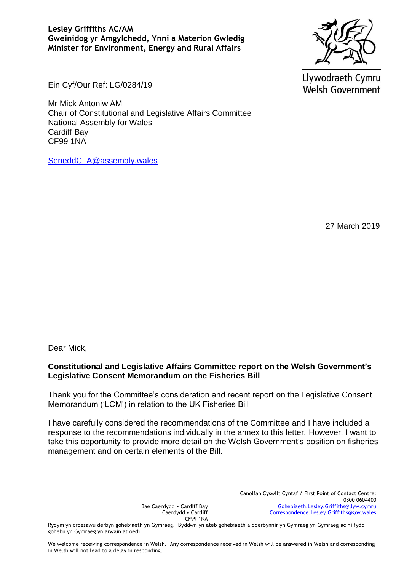### **Lesley Griffiths AC/AM Gweinidog yr Amgylchedd, Ynni a Materion Gwledig Minister for Environment, Energy and Rural Affairs**



Ein Cyf/Our Ref: LG/0284/19

Mr Mick Antoniw AM Chair of Constitutional and Legislative Affairs Committee National Assembly for Wales Cardiff Bay CF99 1NA

[SeneddCLA@assembly.wales](mailto:SeneddCLA@assembly.wales)

Llywodraeth Cymru **Welsh Government** 

27 March 2019

Dear Mick,

# **Constitutional and Legislative Affairs Committee report on the Welsh Government's Legislative Consent Memorandum on the Fisheries Bill**

Thank you for the Committee's consideration and recent report on the Legislative Consent Memorandum ('LCM') in relation to the UK Fisheries Bill

I have carefully considered the recommendations of the Committee and I have included a response to the recommendations individually in the annex to this letter. However, I want to take this opportunity to provide more detail on the Welsh Government's position on fisheries management and on certain elements of the Bill.

> Canolfan Cyswllt Cyntaf / First Point of Contact Centre: 0300 0604400 [Gohebiaeth.Lesley.Griffiths@llyw.cymru](mailto:Gohebiaeth.Lesley.Griffiths@llyw.cymru) [Correspondence.Lesley.Griffiths@gov.wales](mailto:Correspondence.Lesley.Griffiths@gov.wales)

Bae Caerdydd • Cardiff Bay Caerdydd • Cardiff CF99 1NA

Rydym yn croesawu derbyn gohebiaeth yn Gymraeg. Byddwn yn ateb gohebiaeth a dderbynnir yn Gymraeg yn Gymraeg ac ni fydd gohebu yn Gymraeg yn arwain at oedi.

We welcome receiving correspondence in Welsh. Any correspondence received in Welsh will be answered in Welsh and corresponding in Welsh will not lead to a delay in responding.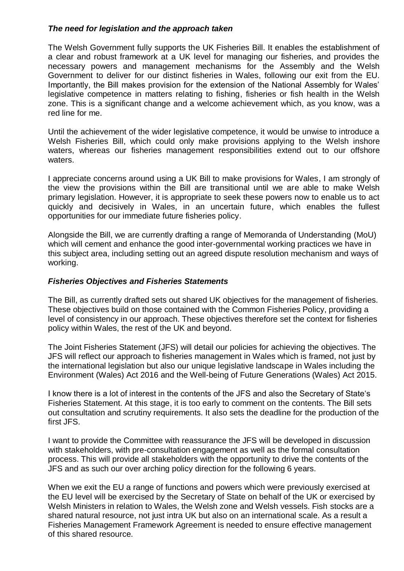### *The need for legislation and the approach taken*

The Welsh Government fully supports the UK Fisheries Bill. It enables the establishment of a clear and robust framework at a UK level for managing our fisheries, and provides the necessary powers and management mechanisms for the Assembly and the Welsh Government to deliver for our distinct fisheries in Wales, following our exit from the EU. Importantly, the Bill makes provision for the extension of the National Assembly for Wales' legislative competence in matters relating to fishing, fisheries or fish health in the Welsh zone. This is a significant change and a welcome achievement which, as you know, was a red line for me.

Until the achievement of the wider legislative competence, it would be unwise to introduce a Welsh Fisheries Bill, which could only make provisions applying to the Welsh inshore waters, whereas our fisheries management responsibilities extend out to our offshore waters.

I appreciate concerns around using a UK Bill to make provisions for Wales, I am strongly of the view the provisions within the Bill are transitional until we are able to make Welsh primary legislation. However, it is appropriate to seek these powers now to enable us to act quickly and decisively in Wales, in an uncertain future, which enables the fullest opportunities for our immediate future fisheries policy.

Alongside the Bill, we are currently drafting a range of Memoranda of Understanding (MoU) which will cement and enhance the good inter-governmental working practices we have in this subject area, including setting out an agreed dispute resolution mechanism and ways of working.

# *Fisheries Objectives and Fisheries Statements*

The Bill, as currently drafted sets out shared UK objectives for the management of fisheries. These objectives build on those contained with the Common Fisheries Policy, providing a level of consistency in our approach. These objectives therefore set the context for fisheries policy within Wales, the rest of the UK and beyond.

The Joint Fisheries Statement (JFS) will detail our policies for achieving the objectives. The JFS will reflect our approach to fisheries management in Wales which is framed, not just by the international legislation but also our unique legislative landscape in Wales including the Environment (Wales) Act 2016 and the Well-being of Future Generations (Wales) Act 2015.

I know there is a lot of interest in the contents of the JFS and also the Secretary of State's Fisheries Statement. At this stage, it is too early to comment on the contents. The Bill sets out consultation and scrutiny requirements. It also sets the deadline for the production of the first JFS.

I want to provide the Committee with reassurance the JFS will be developed in discussion with stakeholders, with pre-consultation engagement as well as the formal consultation process. This will provide all stakeholders with the opportunity to drive the contents of the JFS and as such our over arching policy direction for the following 6 years.

When we exit the EU a range of functions and powers which were previously exercised at the EU level will be exercised by the Secretary of State on behalf of the UK or exercised by Welsh Ministers in relation to Wales, the Welsh zone and Welsh vessels. Fish stocks are a shared natural resource, not just intra UK but also on an international scale. As a result a Fisheries Management Framework Agreement is needed to ensure effective management of this shared resource.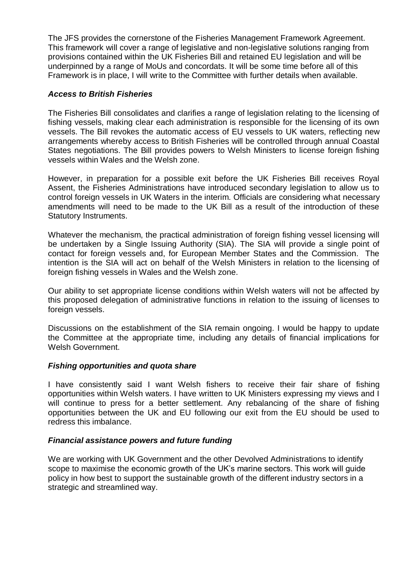The JFS provides the cornerstone of the Fisheries Management Framework Agreement. This framework will cover a range of legislative and non-legislative solutions ranging from provisions contained within the UK Fisheries Bill and retained EU legislation and will be underpinned by a range of MoUs and concordats. It will be some time before all of this Framework is in place, I will write to the Committee with further details when available.

# *Access to British Fisheries*

The Fisheries Bill consolidates and clarifies a range of legislation relating to the licensing of fishing vessels, making clear each administration is responsible for the licensing of its own vessels. The Bill revokes the automatic access of EU vessels to UK waters, reflecting new arrangements whereby access to British Fisheries will be controlled through annual Coastal States negotiations. The Bill provides powers to Welsh Ministers to license foreign fishing vessels within Wales and the Welsh zone.

However, in preparation for a possible exit before the UK Fisheries Bill receives Royal Assent, the Fisheries Administrations have introduced secondary legislation to allow us to control foreign vessels in UK Waters in the interim. Officials are considering what necessary amendments will need to be made to the UK Bill as a result of the introduction of these Statutory Instruments.

Whatever the mechanism, the practical administration of foreign fishing vessel licensing will be undertaken by a Single Issuing Authority (SIA). The SIA will provide a single point of contact for foreign vessels and, for European Member States and the Commission. The intention is the SIA will act on behalf of the Welsh Ministers in relation to the licensing of foreign fishing vessels in Wales and the Welsh zone.

Our ability to set appropriate license conditions within Welsh waters will not be affected by this proposed delegation of administrative functions in relation to the issuing of licenses to foreign vessels.

Discussions on the establishment of the SIA remain ongoing. I would be happy to update the Committee at the appropriate time, including any details of financial implications for Welsh Government.

### *Fishing opportunities and quota share*

I have consistently said I want Welsh fishers to receive their fair share of fishing opportunities within Welsh waters. I have written to UK Ministers expressing my views and I will continue to press for a better settlement. Any rebalancing of the share of fishing opportunities between the UK and EU following our exit from the EU should be used to redress this imbalance.

### *Financial assistance powers and future funding*

We are working with UK Government and the other Devolved Administrations to identify scope to maximise the economic growth of the UK's marine sectors. This work will guide policy in how best to support the sustainable growth of the different industry sectors in a strategic and streamlined way.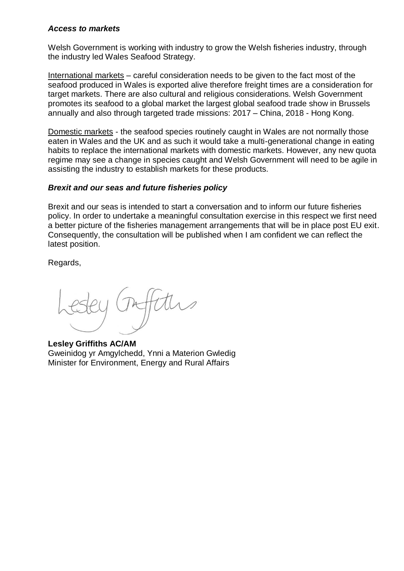### *Access to markets*

Welsh Government is working with industry to grow the Welsh fisheries industry, through the industry led Wales Seafood Strategy.

International markets – careful consideration needs to be given to the fact most of the seafood produced in Wales is exported alive therefore freight times are a consideration for target markets. There are also cultural and religious considerations. Welsh Government promotes its seafood to a global market the largest global seafood trade show in Brussels annually and also through targeted trade missions: 2017 – China, 2018 - Hong Kong.

Domestic markets - the seafood species routinely caught in Wales are not normally those eaten in Wales and the UK and as such it would take a multi-generational change in eating habits to replace the international markets with domestic markets. However, any new quota regime may see a change in species caught and Welsh Government will need to be agile in assisting the industry to establish markets for these products.

### *Brexit and our seas and future fisheries policy*

Brexit and our seas is intended to start a conversation and to inform our future fisheries policy. In order to undertake a meaningful consultation exercise in this respect we first need a better picture of the fisheries management arrangements that will be in place post EU exit. Consequently, the consultation will be published when I am confident we can reflect the latest position.

Regards,

**Lesley Griffiths AC/AM** Gweinidog yr Amgylchedd, Ynni a Materion Gwledig Minister for Environment, Energy and Rural Affairs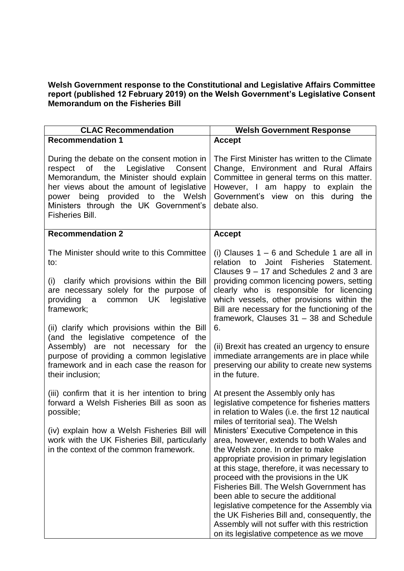# **Welsh Government response to the Constitutional and Legislative Affairs Committee report (published 12 February 2019) on the Welsh Government's Legislative Consent Memorandum on the Fisheries Bill**

| <b>CLAC Recommendation</b>                                                                                                                                                                                                                                                                                                                                                                                                                                | <b>Welsh Government Response</b>                                                                                                                                                                                                                                                                                                                                                                                                                                                                                                                                                                                                                                                                                                 |
|-----------------------------------------------------------------------------------------------------------------------------------------------------------------------------------------------------------------------------------------------------------------------------------------------------------------------------------------------------------------------------------------------------------------------------------------------------------|----------------------------------------------------------------------------------------------------------------------------------------------------------------------------------------------------------------------------------------------------------------------------------------------------------------------------------------------------------------------------------------------------------------------------------------------------------------------------------------------------------------------------------------------------------------------------------------------------------------------------------------------------------------------------------------------------------------------------------|
| <b>Recommendation 1</b>                                                                                                                                                                                                                                                                                                                                                                                                                                   | <b>Accept</b>                                                                                                                                                                                                                                                                                                                                                                                                                                                                                                                                                                                                                                                                                                                    |
| During the debate on the consent motion in<br>respect of the<br>Legislative Consent<br>Memorandum, the Minister should explain<br>her views about the amount of legislative<br>power being provided to the Welsh<br>Ministers through the UK Government's<br><b>Fisheries Bill.</b>                                                                                                                                                                       | The First Minister has written to the Climate<br>Change, Environment and Rural Affairs<br>Committee in general terms on this matter.<br>However, I am happy to explain<br>the<br>Government's view on this during<br>the<br>debate also.                                                                                                                                                                                                                                                                                                                                                                                                                                                                                         |
| <b>Recommendation 2</b>                                                                                                                                                                                                                                                                                                                                                                                                                                   | <b>Accept</b>                                                                                                                                                                                                                                                                                                                                                                                                                                                                                                                                                                                                                                                                                                                    |
| The Minister should write to this Committee<br>to:<br>(i) clarify which provisions within the Bill<br>are necessary solely for the purpose of<br>common UK<br>legislative<br>providing<br>a<br>framework;<br>(ii) clarify which provisions within the Bill<br>(and the legislative competence of the<br>Assembly) are not necessary for the<br>purpose of providing a common legislative<br>framework and in each case the reason for<br>their inclusion; | (i) Clauses $1 - 6$ and Schedule 1 are all in<br>Joint Fisheries Statement.<br>relation to<br>Clauses 9 – 17 and Schedules 2 and 3 are<br>providing common licencing powers, setting<br>clearly who is responsible for licencing<br>which vessels, other provisions within the<br>Bill are necessary for the functioning of the<br>framework, Clauses 31 - 38 and Schedule<br>6.<br>(ii) Brexit has created an urgency to ensure<br>immediate arrangements are in place while<br>preserving our ability to create new systems<br>in the future.                                                                                                                                                                                  |
| (iii) confirm that it is her intention to bring<br>forward a Welsh Fisheries Bill as soon as<br>possible;<br>(iv) explain how a Welsh Fisheries Bill will<br>work with the UK Fisheries Bill, particularly<br>in the context of the common framework.                                                                                                                                                                                                     | At present the Assembly only has<br>legislative competence for fisheries matters<br>in relation to Wales (i.e. the first 12 nautical<br>miles of territorial sea). The Welsh<br>Ministers' Executive Competence in this<br>area, however, extends to both Wales and<br>the Welsh zone. In order to make<br>appropriate provision in primary legislation<br>at this stage, therefore, it was necessary to<br>proceed with the provisions in the UK<br>Fisheries Bill. The Welsh Government has<br>been able to secure the additional<br>legislative competence for the Assembly via<br>the UK Fisheries Bill and, consequently, the<br>Assembly will not suffer with this restriction<br>on its legislative competence as we move |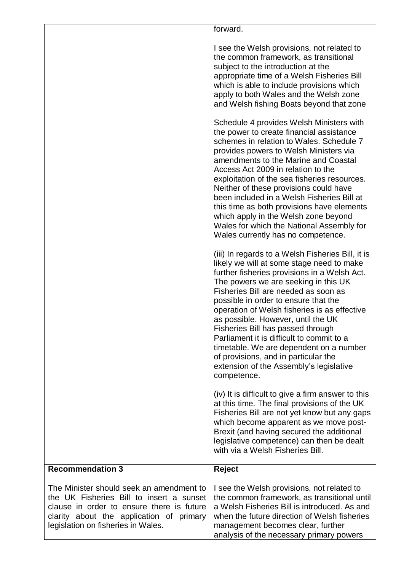|                                                                                                                                                                                                                     | forward.                                                                                                                                                                                                                                                                                                                                                                                                                                                                                                                                                                                    |
|---------------------------------------------------------------------------------------------------------------------------------------------------------------------------------------------------------------------|---------------------------------------------------------------------------------------------------------------------------------------------------------------------------------------------------------------------------------------------------------------------------------------------------------------------------------------------------------------------------------------------------------------------------------------------------------------------------------------------------------------------------------------------------------------------------------------------|
|                                                                                                                                                                                                                     | I see the Welsh provisions, not related to<br>the common framework, as transitional<br>subject to the introduction at the<br>appropriate time of a Welsh Fisheries Bill<br>which is able to include provisions which<br>apply to both Wales and the Welsh zone<br>and Welsh fishing Boats beyond that zone                                                                                                                                                                                                                                                                                  |
|                                                                                                                                                                                                                     | Schedule 4 provides Welsh Ministers with<br>the power to create financial assistance<br>schemes in relation to Wales. Schedule 7<br>provides powers to Welsh Ministers via<br>amendments to the Marine and Coastal<br>Access Act 2009 in relation to the<br>exploitation of the sea fisheries resources.<br>Neither of these provisions could have<br>been included in a Welsh Fisheries Bill at<br>this time as both provisions have elements<br>which apply in the Welsh zone beyond<br>Wales for which the National Assembly for<br>Wales currently has no competence.                   |
|                                                                                                                                                                                                                     | (iii) In regards to a Welsh Fisheries Bill, it is<br>likely we will at some stage need to make<br>further fisheries provisions in a Welsh Act.<br>The powers we are seeking in this UK<br>Fisheries Bill are needed as soon as<br>possible in order to ensure that the<br>operation of Welsh fisheries is as effective<br>as possible. However, until the UK<br>Fisheries Bill has passed through<br>Parliament it is difficult to commit to a<br>timetable. We are dependent on a number<br>of provisions, and in particular the<br>extension of the Assembly's legislative<br>competence. |
|                                                                                                                                                                                                                     | (iv) It is difficult to give a firm answer to this<br>at this time. The final provisions of the UK<br>Fisheries Bill are not yet know but any gaps<br>which become apparent as we move post-<br>Brexit (and having secured the additional<br>legislative competence) can then be dealt<br>with via a Welsh Fisheries Bill.                                                                                                                                                                                                                                                                  |
| <b>Recommendation 3</b>                                                                                                                                                                                             | <b>Reject</b>                                                                                                                                                                                                                                                                                                                                                                                                                                                                                                                                                                               |
| The Minister should seek an amendment to<br>the UK Fisheries Bill to insert a sunset<br>clause in order to ensure there is future<br>clarity about the application of primary<br>legislation on fisheries in Wales. | I see the Welsh provisions, not related to<br>the common framework, as transitional until<br>a Welsh Fisheries Bill is introduced. As and<br>when the future direction of Welsh fisheries<br>management becomes clear, further<br>analysis of the necessary primary powers                                                                                                                                                                                                                                                                                                                  |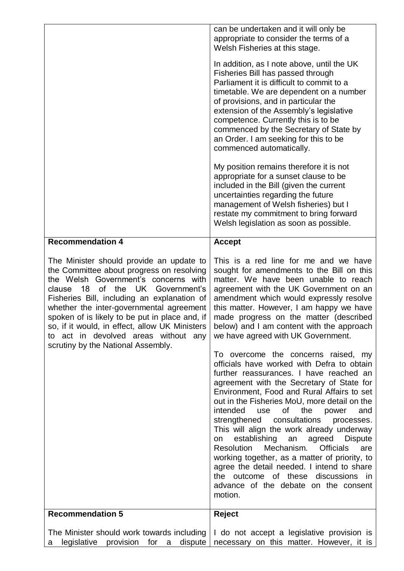|                                                                                                                                                                                                                                                                                                                                                                                                                                                   | can be undertaken and it will only be<br>appropriate to consider the terms of a<br>Welsh Fisheries at this stage.<br>In addition, as I note above, until the UK<br>Fisheries Bill has passed through<br>Parliament it is difficult to commit to a<br>timetable. We are dependent on a number<br>of provisions, and in particular the<br>extension of the Assembly's legislative<br>competence. Currently this is to be<br>commenced by the Secretary of State by<br>an Order. I am seeking for this to be<br>commenced automatically.<br>My position remains therefore it is not<br>appropriate for a sunset clause to be<br>included in the Bill (given the current<br>uncertainties regarding the future<br>management of Welsh fisheries) but I<br>restate my commitment to bring forward<br>Welsh legislation as soon as possible.                                                                                                                                                                                                                                                                            |
|---------------------------------------------------------------------------------------------------------------------------------------------------------------------------------------------------------------------------------------------------------------------------------------------------------------------------------------------------------------------------------------------------------------------------------------------------|-------------------------------------------------------------------------------------------------------------------------------------------------------------------------------------------------------------------------------------------------------------------------------------------------------------------------------------------------------------------------------------------------------------------------------------------------------------------------------------------------------------------------------------------------------------------------------------------------------------------------------------------------------------------------------------------------------------------------------------------------------------------------------------------------------------------------------------------------------------------------------------------------------------------------------------------------------------------------------------------------------------------------------------------------------------------------------------------------------------------|
| <b>Recommendation 4</b>                                                                                                                                                                                                                                                                                                                                                                                                                           | <b>Accept</b>                                                                                                                                                                                                                                                                                                                                                                                                                                                                                                                                                                                                                                                                                                                                                                                                                                                                                                                                                                                                                                                                                                     |
| The Minister should provide an update to<br>the Committee about progress on resolving<br>the Welsh Government's concerns with<br>clause 18<br>of the UK Government's<br>Fisheries Bill, including an explanation of<br>whether the inter-governmental agreement<br>spoken of is likely to be put in place and, if<br>so, if it would, in effect, allow UK Ministers<br>to act in devolved areas without any<br>scrutiny by the National Assembly. | This is a red line for me and we have<br>sought for amendments to the Bill on this<br>matter. We have been unable to reach<br>agreement with the UK Government on an<br>amendment which would expressly resolve<br>this matter. However, I am happy we have<br>made progress on the matter (described<br>below) and I am content with the approach<br>we have agreed with UK Government.<br>To overcome the concerns raised, my<br>officials have worked with Defra to obtain<br>further reassurances. I have reached an<br>agreement with the Secretary of State for<br>Environment, Food and Rural Affairs to set<br>out in the Fisheries MoU, more detail on the<br>intended<br>of<br>the<br>and<br>use<br>power<br>strengthened consultations processes.<br>This will align the work already underway<br>establishing<br>agreed<br>an<br><b>Dispute</b><br>on<br>Mechanism.<br><b>Officials</b><br>Resolution<br>are<br>working together, as a matter of priority, to<br>agree the detail needed. I intend to share<br>the outcome of these discussions in<br>advance of the debate on the consent<br>motion. |
| <b>Recommendation 5</b>                                                                                                                                                                                                                                                                                                                                                                                                                           | Reject                                                                                                                                                                                                                                                                                                                                                                                                                                                                                                                                                                                                                                                                                                                                                                                                                                                                                                                                                                                                                                                                                                            |
| The Minister should work towards including<br>legislative provision for a dispute<br>a -                                                                                                                                                                                                                                                                                                                                                          | I do not accept a legislative provision is<br>necessary on this matter. However, it is                                                                                                                                                                                                                                                                                                                                                                                                                                                                                                                                                                                                                                                                                                                                                                                                                                                                                                                                                                                                                            |